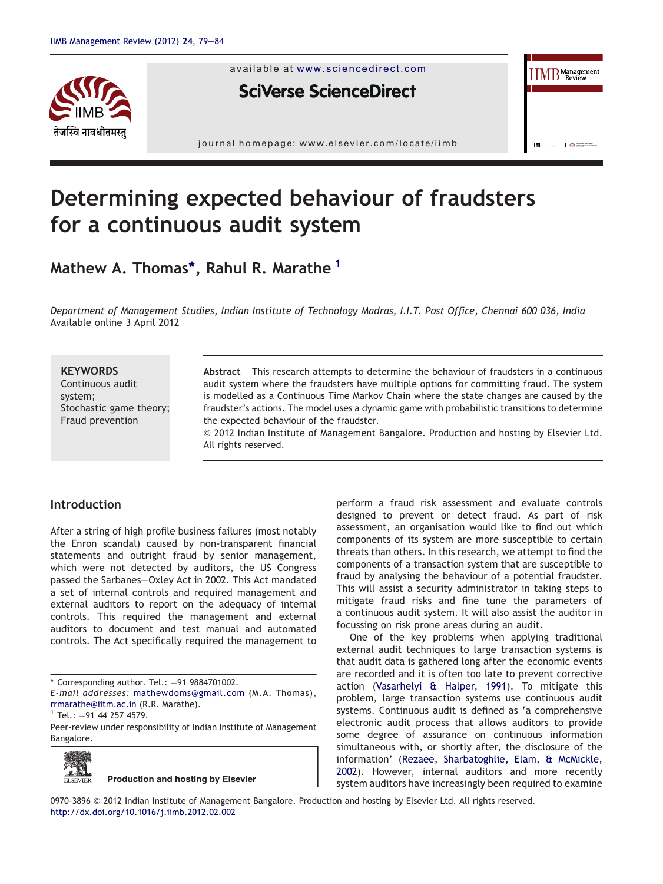

available at [www.sciencedirect.com](www.sciencedirect.com/science/journal/09703896)

**SciVerse ScienceDirect** 

journal homepage: [www.elsevier.com/locate/iimb](http://www.elsevier.com/locate/iimb)

# Determining expected behaviour of fraudsters for a continuous audit system

# Mathew A. Thomas\*, Rahul R. Marathe <sup>1</sup>

Department of Management Studies, Indian Institute of Technology Madras, I.I.T. Post Office, Chennai 600 036, India Available online 3 April 2012

## **KEYWORDS**

Continuous audit system; Stochastic game theory; Fraud prevention

Abstract This research attempts to determine the behaviour of fraudsters in a continuous audit system where the fraudsters have multiple options for committing fraud. The system is modelled as a Continuous Time Markov Chain where the state changes are caused by the fraudster's actions. The model uses a dynamic game with probabilistic transitions to determine the expected behaviour of the fraudster.

ª 2012 Indian Institute of Management Bangalore. Production and hosting by Elsevier Ltd. All rights reserved.

# Introduction

After a string of high profile business failures (most notably the Enron scandal) caused by non-transparent financial statements and outright fraud by senior management, which were not detected by auditors, the US Congress passed the Sarbanes-Oxley Act in 2002. This Act mandated a set of internal controls and required management and external auditors to report on the adequacy of internal controls. This required the management and external auditors to document and test manual and automated controls. The Act specifically required the management to

Peer-review under responsibility of Indian Institute of Management Bangalore.



perform a fraud risk assessment and evaluate controls designed to prevent or detect fraud. As part of risk assessment, an organisation would like to find out which components of its system are more susceptible to certain threats than others. In this research, we attempt to find the components of a transaction system that are susceptible to fraud by analysing the behaviour of a potential fraudster. This will assist a security administrator in taking steps to mitigate fraud risks and fine tune the parameters of a continuous audit system. It will also assist the auditor in focussing on risk prone areas during an audit.

 $\text{IIMB}^{\text{Management}}$ 

 $\Box$   $\triangle$   $\Box$ 

One of the key problems when applying traditional external audit techniques to large transaction systems is that audit data is gathered long after the economic events are recorded and it is often too late to prevent corrective action ([Vasarhelyi & Halper, 1991](#page-5-0)). To mitigate this problem, large transaction systems use continuous audit systems. Continuous audit is defined as 'a comprehensive electronic audit process that allows auditors to provide some degree of assurance on continuous information simultaneous with, or shortly after, the disclosure of the information' [\(Rezaee, Sharbatoghlie, Elam, & McMickle,](#page-5-0) [2002](#page-5-0)). However, internal auditors and more recently system auditors have increasingly been required to examine

0970-3896 @ 2012 Indian Institute of Management Bangalore. Production and hosting by Elsevier Ltd. All rights reserved. <http://dx.doi.org/10.1016/j.iimb.2012.02.002>

 $*$  Corresponding author. Tel.:  $+91$  9884701002.

E-mail addresses: [mathewdoms@gmail.com](mailto:mathewdoms@gmail.com) (M.A. Thomas), [rrmarathe@iitm.ac.in](mailto:rrmarathe@iitm.ac.in) (R.R. Marathe).<br><sup>1</sup> Tel.: +91 44 257 4579.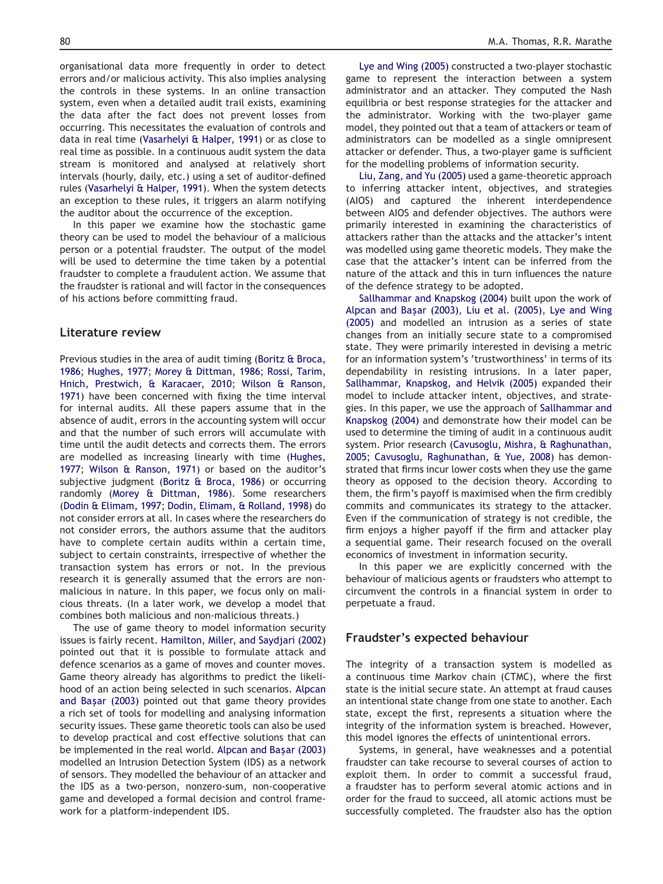organisational data more frequently in order to detect errors and/or malicious activity. This also implies analysing the controls in these systems. In an online transaction system, even when a detailed audit trail exists, examining the data after the fact does not prevent losses from occurring. This necessitates the evaluation of controls and data in real time [\(Vasarhelyi & Halper, 1991](#page-5-0)) or as close to real time as possible. In a continuous audit system the data stream is monitored and analysed at relatively short intervals (hourly, daily, etc.) using a set of auditor-defined rules [\(Vasarhelyi & Halper, 1991](#page-5-0)). When the system detects an exception to these rules, it triggers an alarm notifying the auditor about the occurrence of the exception.

In this paper we examine how the stochastic game theory can be used to model the behaviour of a malicious person or a potential fraudster. The output of the model will be used to determine the time taken by a potential fraudster to complete a fraudulent action. We assume that the fraudster is rational and will factor in the consequences of his actions before committing fraud.

#### Literature review

Previous studies in the area of audit timing ([Boritz & Broca,](#page-5-0) [1986](#page-5-0); [Hughes, 1977](#page-5-0); [Morey & Dittman, 1986;](#page-5-0) [Rossi, Tarim,](#page-5-0) [Hnich, Prestwich, & Karacaer, 2010](#page-5-0); [Wilson & Ranson,](#page-5-0) [1971](#page-5-0)) have been concerned with fixing the time interval for internal audits. All these papers assume that in the absence of audit, errors in the accounting system will occur and that the number of such errors will accumulate with time until the audit detects and corrects them. The errors are modelled as increasing linearly with time ([Hughes,](#page-5-0) [1977](#page-5-0); [Wilson & Ranson, 1971](#page-5-0)) or based on the auditor's subjective judgment [\(Boritz & Broca, 1986\)](#page-5-0) or occurring randomly [\(Morey & Dittman, 1986](#page-5-0)). Some researchers [\(Dodin & Elimam, 1997;](#page-5-0) [Dodin, Elimam, & Rolland, 1998](#page-5-0)) do not consider errors at all. In cases where the researchers do not consider errors, the authors assume that the auditors have to complete certain audits within a certain time, subject to certain constraints, irrespective of whether the transaction system has errors or not. In the previous research it is generally assumed that the errors are nonmalicious in nature. In this paper, we focus only on malicious threats. (In a later work, we develop a model that combines both malicious and non-malicious threats.)

The use of game theory to model information security issues is fairly recent. [Hamilton, Miller, and Saydjari \(2002\)](#page-5-0) pointed out that it is possible to formulate attack and defence scenarios as a game of moves and counter moves. Game theory already has algorithms to predict the likelihood of an action being selected in such scenarios. [Alpcan](#page-5-0) [and Ba](#page-5-0)şar (2003) pointed out that game theory provides a rich set of tools for modelling and analysing information security issues. These game theoretic tools can also be used to develop practical and cost effective solutions that can be implemented in the real world. [Alpcan and Ba](#page-5-0)ş[ar \(2003\)](#page-5-0) modelled an Intrusion Detection System (IDS) as a network of sensors. They modelled the behaviour of an attacker and the IDS as a two-person, nonzero-sum, non-cooperative game and developed a formal decision and control framework for a platform-independent IDS.

[Lye and Wing \(2005\)](#page-5-0) constructed a two-player stochastic game to represent the interaction between a system administrator and an attacker. They computed the Nash equilibria or best response strategies for the attacker and the administrator. Working with the two-player game model, they pointed out that a team of attackers or team of administrators can be modelled as a single omnipresent attacker or defender. Thus, a two-player game is sufficient for the modelling problems of information security.

[Liu, Zang, and Yu \(2005\)](#page-5-0) used a game-theoretic approach to inferring attacker intent, objectives, and strategies (AIOS) and captured the inherent interdependence between AIOS and defender objectives. The authors were primarily interested in examining the characteristics of attackers rather than the attacks and the attacker's intent was modelled using game theoretic models. They make the case that the attacker's intent can be inferred from the nature of the attack and this in turn influences the nature of the defence strategy to be adopted.

[Sallhammar and Knapskog \(2004\)](#page-5-0) built upon the work of [Alpcan and Ba](#page-5-0)ş[ar \(2003\)](#page-5-0), [Liu et al. \(2005\)](#page-5-0), [Lye and Wing](#page-5-0) [\(2005\)](#page-5-0) and modelled an intrusion as a series of state changes from an initially secure state to a compromised state. They were primarily interested in devising a metric for an information system's 'trustworthiness' in terms of its dependability in resisting intrusions. In a later paper, [Sallhammar, Knapskog, and Helvik \(2005\)](#page-5-0) expanded their model to include attacker intent, objectives, and strategies. In this paper, we use the approach of [Sallhammar and](#page-5-0) [Knapskog \(2004\)](#page-5-0) and demonstrate how their model can be used to determine the timing of audit in a continuous audit system. Prior research [\(Cavusoglu, Mishra, & Raghunathan,](#page-5-0) [2005](#page-5-0); [Cavusoglu, Raghunathan, & Yue, 2008\)](#page-5-0) has demonstrated that firms incur lower costs when they use the game theory as opposed to the decision theory. According to them, the firm's payoff is maximised when the firm credibly commits and communicates its strategy to the attacker. Even if the communication of strategy is not credible, the firm enjoys a higher payoff if the firm and attacker play a sequential game. Their research focused on the overall economics of investment in information security.

In this paper we are explicitly concerned with the behaviour of malicious agents or fraudsters who attempt to circumvent the controls in a financial system in order to perpetuate a fraud.

#### Fraudster's expected behaviour

The integrity of a transaction system is modelled as a continuous time Markov chain (CTMC), where the first state is the initial secure state. An attempt at fraud causes an intentional state change from one state to another. Each state, except the first, represents a situation where the integrity of the information system is breached. However, this model ignores the effects of unintentional errors.

Systems, in general, have weaknesses and a potential fraudster can take recourse to several courses of action to exploit them. In order to commit a successful fraud, a fraudster has to perform several atomic actions and in order for the fraud to succeed, all atomic actions must be successfully completed. The fraudster also has the option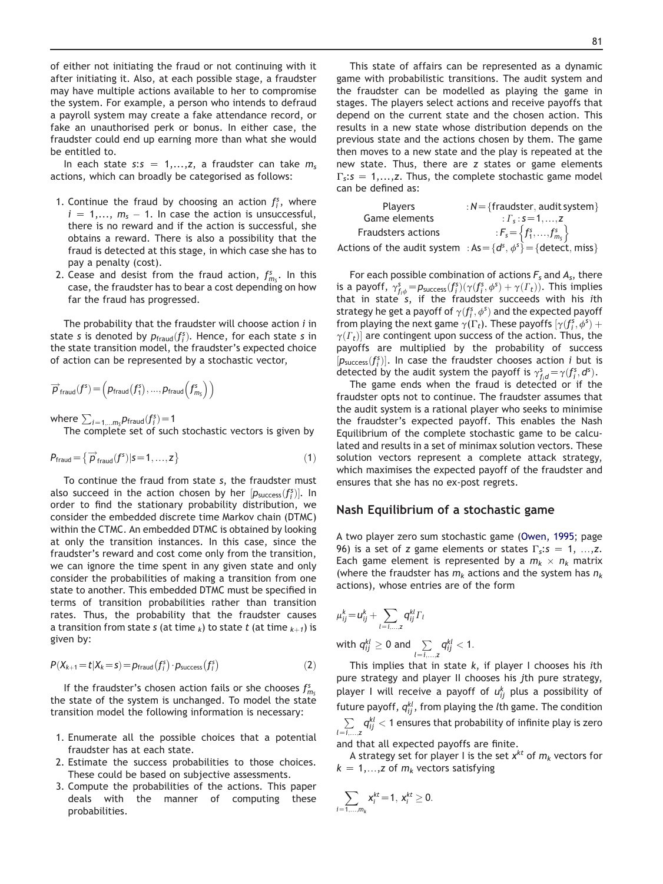of either not initiating the fraud or not continuing with it after initiating it. Also, at each possible stage, a fraudster may have multiple actions available to her to compromise the system. For example, a person who intends to defraud a payroll system may create a fake attendance record, or fake an unauthorised perk or bonus. In either case, the fraudster could end up earning more than what she would be entitled to.

In each state s:s = 1,...,z, a fraudster can take  $m_s$ actions, which can broadly be categorised as follows:

- 1. Continue the fraud by choosing an action  $f_i^s$ , where  $i = 1,..., m_s - 1$ . In case the action is unsuccessful,<br>there is no reward and if the action is successful, she there is no reward and if the action is successful, she obtains a reward. There is also a possibility that the fraud is detected at this stage, in which case she has to pay a penalty (cost).
- 2. Cease and desist from the fraud action,  $f_{m_S}^s$ . In this case, the fraudster has to bear a cost depending on how far the fraud has progressed.

The probability that the fraudster will choose action  $i$  in state s is denoted by  $p_{\text{fraud}}(f_i^s)$ . Hence, for each state s in<br>the state transition model, the fraudster's expected choice the state transition model, the fraudster's expected choice of action can be represented by a stochastic vector,

$$
\overrightarrow{p}_{\text{fraud}}(f^s) = \left(p_{\text{fraud}}(f_1^s), ..., p_{\text{fraud}}\left(f_{m_s}^s\right)\right)
$$

where  $\sum_{i=1,...m_S} p_{\text{fraud}}(f_i^s) = 1$ <br>The complete set of such

The complete set of such stochastic vectors is given by

$$
P_{\text{fraud}} = \left\{ \overrightarrow{p}_{\text{fraud}}(f^s) | s = 1, ..., z \right\} \tag{1}
$$

To continue the fraud from state s, the fraudster must also succeed in the action chosen by her  $[p_{\text{success}}(f_i^s)]$ . In order to find the stationary probability distribution we order to find the stationary probability distribution, we consider the embedded discrete time Markov chain (DTMC) within the CTMC. An embedded DTMC is obtained by looking at only the transition instances. In this case, since the fraudster's reward and cost come only from the transition, we can ignore the time spent in any given state and only consider the probabilities of making a transition from one state to another. This embedded DTMC must be specified in terms of transition probabilities rather than transition rates. Thus, the probability that the fraudster causes a transition from state s (at time  $_k$ ) to state t (at time  $_{k+1}$ ) is given by:

$$
P(X_{k+1} = t | X_k = s) = p_{\text{fraud}}(f_i^s) \cdot p_{\text{success}}(f_i^s)
$$
 (2)

If the fraudster's chosen action fails or she chooses  $f_{m_S}^s$ the state of the system is unchanged. To model the state transition model the following information is necessary:

- 1. Enumerate all the possible choices that a potential fraudster has at each state.
- 2. Estimate the success probabilities to those choices. These could be based on subjective assessments.
- 3. Compute the probabilities of the actions. This paper deals with the manner of computing these probabilities.

This state of affairs can be represented as a dynamic game with probabilistic transitions. The audit system and the fraudster can be modelled as playing the game in stages. The players select actions and receive payoffs that depend on the current state and the chosen action. This results in a new state whose distribution depends on the previous state and the actions chosen by them. The game then moves to a new state and the play is repeated at the new state. Thus, there are z states or game elements  $\Gamma$ <sub>s</sub>:  $s = 1,...,z$ . Thus, the complete stochastic game model can be defined as:

| <b>Players</b>            | : $N = \{$ fraudster, audit system $\}$                                 |
|---------------------------|-------------------------------------------------------------------------|
| Game elements             | : $\Gamma_s$ : $s = 1, , z$                                             |
| <b>Fraudsters actions</b> | : $F_s = \{f_1^s, , f_{m_s}^s\}$                                        |
|                           | Actions of the audit system : $As = \{d^s, \phi^s\} = \{detect, miss\}$ |
|                           |                                                                         |

For each possible combination of actions  $F_s$  and  $A_s$ , there is a payoff,  $\gamma_{f,\phi}^s = p_{\text{success}}(f_i^s)(\gamma(f_i^s, \phi^s) + \gamma(F_t))$ . This implies that in state  $s$ , if the fraudster succeeds with his ith strategy he get a payoff of  $\gamma(f_3^s, \phi^s)$  and the expected payoff<br>from playing the next game  $\gamma(\Gamma)$ . These payoffs  $\gamma(f_3, \phi^s)$ from playing the next game  $\gamma(\Gamma_t)$ . These payoffs  $[\gamma(f_i^s, \phi^s)]$ <br> $\gamma(\Gamma_t)$  are contingent upon success of the action. Thus  $\gamma(T_t)$  are contingent upon success of the action. Thus, the payoffs are multiplied by the probability of success  $[p_{\text{success}}(f_j^s)]$ . In case the fraudster chooses action *i* but is detected by the audit system the payoff is  $\gamma^s = \gamma(f^s, d^s)$ detected by the audit system the payoff is  $\gamma_{fd}^s = \gamma(f_i^s, d^s)$ .<br>The game ends when the fraud is detected or if the

The game ends when the fraud is detected or if the fraudster opts not to continue. The fraudster assumes that the audit system is a rational player who seeks to minimise the fraudster's expected payoff. This enables the Nash Equilibrium of the complete stochastic game to be calculated and results in a set of minimax solution vectors. These solution vectors represent a complete attack strategy, which maximises the expected payoff of the fraudster and ensures that she has no ex-post regrets.

#### Nash Equilibrium of a stochastic game

A two player zero sum stochastic game [\(Owen, 1995;](#page-5-0) page 96) is a set of z game elements or states  $\Gamma_s$ :  $s = 1, \ldots, z$ . Each game element is represented by a  $m_k \times n_k$  matrix (where the fraudster has  $m_k$  actions and the system has  $n_k$ actions), whose entries are of the form

$$
\mu_{ij}^k = u_{ij}^k + \sum_{l=i,\dots,z} q_{ij}^{kl} \Gamma_l
$$
\nwith  $q_{ij}^{kl} \ge 0$  and  $\sum_{l=i,\dots,z} q_{ij}^{kl} < 1$ .

This implies that in state  $k$ , if player I chooses his ith pure strategy and player II chooses his jth pure strategy, player I will receive a payoff of  $u_{ij}^k$  plus a possibility of future payoff,  $q_{ij}^{kl}$ , from playing the *l*th game. The condition  $\sum\limits_{l = 1, \ldots, \mathsf{z}} q_{ij}^{kl} < 1$  ensures that probability of infinite play is zero

and that all expected payoffs are finite.

A strategy set for player I is the set  $x^{kt}$  of  $m_k$  vectors for  $k = 1,...,z$  of  $m_k$  vectors satisfying

$$
\sum_{i=1,\ldots,m_k} x_i^{kt} = 1, x_i^{kt} \geq 0.
$$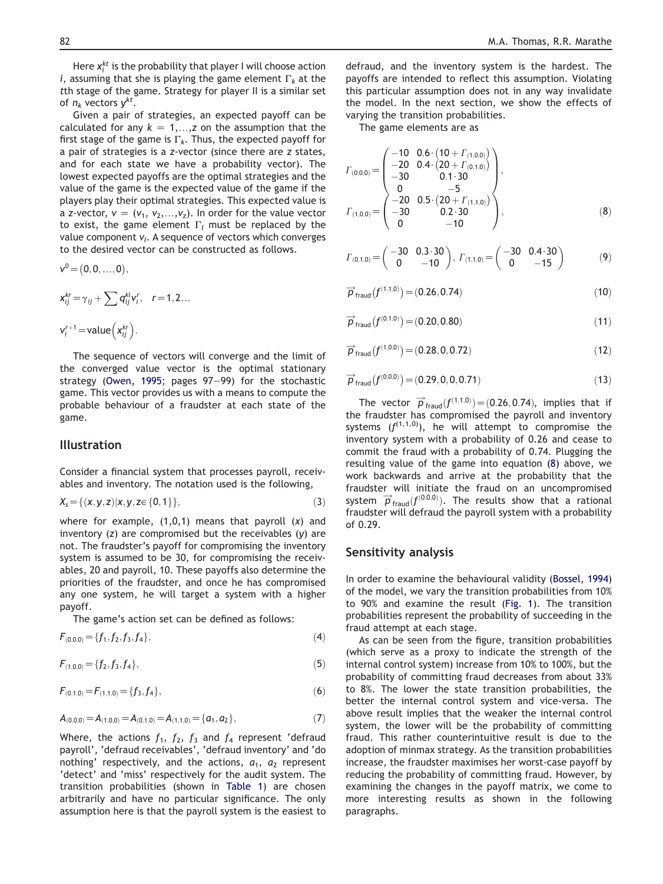Here  $x_i^{kt}$  is the probability that player I will choose action i, assuming that she is playing the game element  $\Gamma_k$  at the tth stage of the game. Strategy for player II is a similar set of  $n_k$  vectors  $v^{kt}$ .

Given a pair of strategies, an expected payoff can be calculated for any  $k = 1,...,z$  on the assumption that the first stage of the game is  $\Gamma_k$ . Thus, the expected payoff for a pair of strategies is a z-vector (since there are z states, and for each state we have a probability vector). The lowest expected payoffs are the optimal strategies and the value of the game is the expected value of the game if the players play their optimal strategies. This expected value is a z-vector,  $v = (v_1, v_2,...,v_z)$ . In order for the value vector to exist, the game element  $\Gamma_l$  must be replaced by the value component  $v_l$ . A sequence of vectors which converges to the desired vector can be constructed as follows.

$$
v^0\!=\!(0,0,...,0),
$$

$$
x_{ij}^{kr} = \gamma_{ij} + \sum q_{ij}^{kl} v_i^r, \quad r = 1, 2...
$$
  

$$
v_i^{r+1} = \text{value}\left(x_{ij}^{kr}\right).
$$

The sequence of vectors will converge and the limit of the converged value vector is the optimal stationary strategy [\(Owen, 1995](#page-5-0); pages 97-99) for the stochastic game. This vector provides us with a means to compute the probable behaviour of a fraudster at each state of the game.

### Illustration

Consider a financial system that processes payroll, receivables and inventory. The notation used is the following,

$$
X_{s} = \{(x, y, z) | x, y, z \in \{0, 1\}\},\tag{3}
$$

where for example,  $(1,0,1)$  means that payroll  $(x)$  and inventory (z) are compromised but the receivables (y) are not. The fraudster's payoff for compromising the inventory system is assumed to be 30, for compromising the receivables, 20 and payroll, 10. These payoffs also determine the priorities of the fraudster, and once he has compromised any one system, he will target a system with a higher payoff.

The game's action set can be defined as follows:

$$
F_{(0,0,0)} = \{f_1, f_2, f_3, f_4\},\tag{4}
$$

$$
F_{(1,0,0)} = \{f_2, f_3, f_4\},\tag{5}
$$

$$
F_{(0,1,0)} = F_{(1,1,0)} = \{f_3, f_4\},\tag{6}
$$

$$
A_{(0,0,0)} = A_{(1,0,0)} = A_{(0,1,0)} = A_{(1,1,0)} = \{a_1, a_2\},
$$
\n(7)

Where, the actions  $f_1$ ,  $f_2$ ,  $f_3$  and  $f_4$  represent 'defraud payroll', 'defraud receivables', 'defraud inventory' and 'do nothing' respectively, and the actions,  $a_1$ ,  $a_2$  represent 'detect' and 'miss' respectively for the audit system. The transition probabilities (shown in [Table 1](#page-4-0)) are chosen arbitrarily and have no particular significance. The only assumption here is that the payroll system is the easiest to

defraud, and the inventory system is the hardest. The payoffs are intended to reflect this assumption. Violating this particular assumption does not in any way invalidate the model. In the next section, we show the effects of varying the transition probabilities.

The game elements are as

$$
I_{(0,0,0)} = \begin{pmatrix} -10 & 0.6 \cdot (10 + I_{(1,0,0)}) \\ -20 & 0.4 \cdot (20 + I_{(0,1,0)}) \\ -30 & 0.1 \cdot 30 \\ 0 & -5 \\ -20 & 0.5 \cdot (20 + I_{(1,1,0)}) \\ -30 & 0.2 \cdot 30 \\ 0 & -10 \end{pmatrix},
$$
 (8)

$$
\Gamma_{(0,1,0)} = \begin{pmatrix} -30 & 0.3 \cdot 30 \\ 0 & -10 \end{pmatrix}, \ \Gamma_{(1,1,0)} = \begin{pmatrix} -30 & 0.4 \cdot 30 \\ 0 & -15 \end{pmatrix} \tag{9}
$$

$$
\overrightarrow{P}_{\text{frau}}(f^{(1,1,0)}) = (0.26, 0.74)
$$
\n(10)

$$
\overrightarrow{P}_{\text{frau}}(f^{(0,1,0)}) = (0.20, 0.80) \tag{11}
$$

$$
\overrightarrow{p}_{\text{fraud}}(f^{(1,0,0)}) = (0.28, 0, 0.72) \tag{12}
$$

$$
\overrightarrow{p}_{\text{fraud}}(f^{(0,0,0)}) = (0.29, 0, 0, 0.71) \tag{13}
$$

The vector  $\vec{p}_{\text{frag}}(f^{(1,1,0)}) = (0.26, 0.74)$ , implies that if the fraudster has compromised the payroll and inventory systems  $(f^{(1,1,0)})$ , he will attempt to compromise the inventory system with a probability of 0.26 and cease to commit the fraud with a probability of 0.74. Plugging the resulting value of the game into equation (8) above, we work backwards and arrive at the probability that the fraudster will initiate the fraud on an uncompromised system  $\vec{p}$ <sub>fraud</sub>( $f^{(0,0,0)}$ ). The results show that a rational fraudster will defraud the payroll system with a probability fraudster will defraud the payroll system with a probability of 0.29.

#### Sensitivity analysis

In order to examine the behavioural validity ([Bossel, 1994\)](#page-5-0) of the model, we vary the transition probabilities from 10% to 90% and examine the result [\(Fig. 1](#page-4-0)). The transition probabilities represent the probability of succeeding in the fraud attempt at each stage.

As can be seen from the figure, transition probabilities (which serve as a proxy to indicate the strength of the internal control system) increase from 10% to 100%, but the probability of committing fraud decreases from about 33% to 8%. The lower the state transition probabilities, the better the internal control system and vice-versa. The above result implies that the weaker the internal control system, the lower will be the probability of committing fraud. This rather counterintuitive result is due to the adoption of minmax strategy. As the transition probabilities increase, the fraudster maximises her worst-case payoff by reducing the probability of committing fraud. However, by examining the changes in the payoff matrix, we come to more interesting results as shown in the following paragraphs.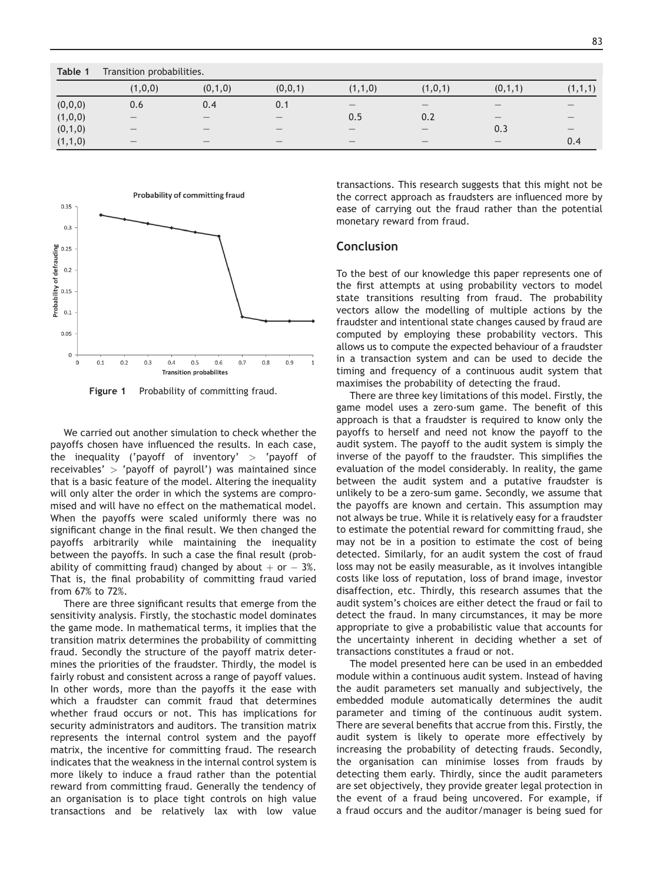<span id="page-4-0"></span>

| Table 1 | Transition probabilities.       |                                 |                                 |                 |                   |         |         |  |
|---------|---------------------------------|---------------------------------|---------------------------------|-----------------|-------------------|---------|---------|--|
|         | (1,0,0)                         | (0,1,0)                         | (0,0,1)                         | (1,1,0)         | (1,0,1)           | (0,1,1) | (1,1,1) |  |
| (0,0,0) | 0.6                             | 0.4                             | 0.1                             |                 |                   |         |         |  |
| (1,0,0) | $\hspace{0.1mm}-\hspace{0.1mm}$ |                                 | $\hspace{0.1mm}-\hspace{0.1mm}$ | 0.5             | 0.2               |         |         |  |
| (0,1,0) |                                 |                                 |                                 |                 |                   | 0.3     |         |  |
| (1,1,0) | $\hspace{0.1mm}-\hspace{0.1mm}$ | $\hspace{0.1mm}-\hspace{0.1mm}$ | $\qquad \qquad$                 | $\qquad \qquad$ | $\hspace{0.05cm}$ |         | 0.4     |  |



Figure 1 Probability of committing fraud.

We carried out another simulation to check whether the payoffs chosen have influenced the results. In each case, the inequality ('payoff of inventory'  $>$  'payoff of receivables'  $>$  'payoff of payroll') was maintained since that is a basic feature of the model. Altering the inequality will only alter the order in which the systems are compromised and will have no effect on the mathematical model. When the payoffs were scaled uniformly there was no significant change in the final result. We then changed the payoffs arbitrarily while maintaining the inequality between the payoffs. In such a case the final result (probability of committing fraud) changed by about  $+$  or  $-$  3%.<br>That is, the final probability of committing fraud varied That is, the final probability of committing fraud varied from 67% to 72%.

There are three significant results that emerge from the sensitivity analysis. Firstly, the stochastic model dominates the game mode. In mathematical terms, it implies that the transition matrix determines the probability of committing fraud. Secondly the structure of the payoff matrix determines the priorities of the fraudster. Thirdly, the model is fairly robust and consistent across a range of payoff values. In other words, more than the payoffs it the ease with which a fraudster can commit fraud that determines whether fraud occurs or not. This has implications for security administrators and auditors. The transition matrix represents the internal control system and the payoff matrix, the incentive for committing fraud. The research indicates that the weakness in the internal control system is more likely to induce a fraud rather than the potential reward from committing fraud. Generally the tendency of an organisation is to place tight controls on high value transactions and be relatively lax with low value transactions. This research suggests that this might not be the correct approach as fraudsters are influenced more by ease of carrying out the fraud rather than the potential monetary reward from fraud.

### **Conclusion**

To the best of our knowledge this paper represents one of the first attempts at using probability vectors to model state transitions resulting from fraud. The probability vectors allow the modelling of multiple actions by the fraudster and intentional state changes caused by fraud are computed by employing these probability vectors. This allows us to compute the expected behaviour of a fraudster in a transaction system and can be used to decide the timing and frequency of a continuous audit system that maximises the probability of detecting the fraud.

There are three key limitations of this model. Firstly, the game model uses a zero-sum game. The benefit of this approach is that a fraudster is required to know only the payoffs to herself and need not know the payoff to the audit system. The payoff to the audit system is simply the inverse of the payoff to the fraudster. This simplifies the evaluation of the model considerably. In reality, the game between the audit system and a putative fraudster is unlikely to be a zero-sum game. Secondly, we assume that the payoffs are known and certain. This assumption may not always be true. While it is relatively easy for a fraudster to estimate the potential reward for committing fraud, she may not be in a position to estimate the cost of being detected. Similarly, for an audit system the cost of fraud loss may not be easily measurable, as it involves intangible costs like loss of reputation, loss of brand image, investor disaffection, etc. Thirdly, this research assumes that the audit system's choices are either detect the fraud or fail to detect the fraud. In many circumstances, it may be more appropriate to give a probabilistic value that accounts for the uncertainty inherent in deciding whether a set of transactions constitutes a fraud or not.

The model presented here can be used in an embedded module within a continuous audit system. Instead of having the audit parameters set manually and subjectively, the embedded module automatically determines the audit parameter and timing of the continuous audit system. There are several benefits that accrue from this. Firstly, the audit system is likely to operate more effectively by increasing the probability of detecting frauds. Secondly, the organisation can minimise losses from frauds by detecting them early. Thirdly, since the audit parameters are set objectively, they provide greater legal protection in the event of a fraud being uncovered. For example, if a fraud occurs and the auditor/manager is being sued for